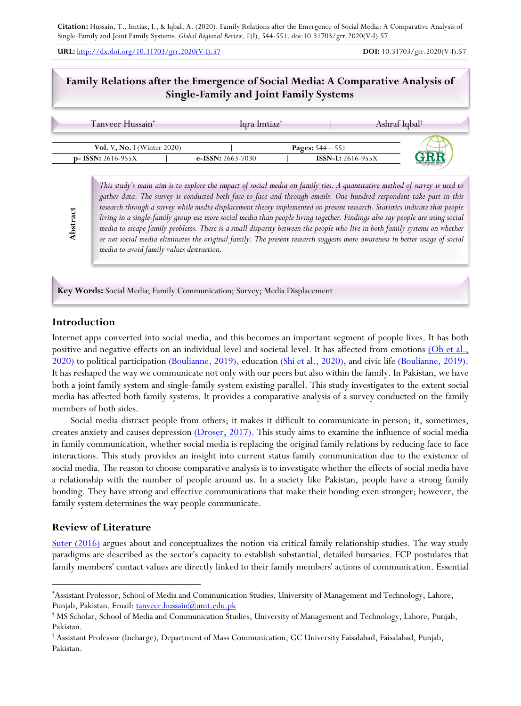**URL:** http://dx.doi.org/10.31703/grr.2020(V-I).57 **DOI:** 10.31703/grr.2020(V-I).57

# **Family Relations after the Emergence of Social Media: A Comparative Analysis of Single-Family and Joint Family Systems**

|                                | Tanveer Hussain <sup>*</sup> |                     | Igra Imtiaz <sup>†</sup>   | Ashraf Iqbal <sup>‡</sup> |
|--------------------------------|------------------------------|---------------------|----------------------------|---------------------------|
| Vol. V, No. I (Winter $2020$ ) |                              |                     | <b>Pages:</b> $544 - 551$  |                           |
| $p-$ ISSN: 2616-955X           |                              | e-ISSN: $2663-7030$ | <b>ISSN-L:</b> $2616-955X$ |                           |

*This study's main aim is to explore the impact of social media on family ties. A quantitative method of survey is used to gather data. The survey is conducted both face-to-face and through emails. One hundred respondent take part in this research through a survey while media displacement theory implemented on present research. Statistics indicate that people living in a single-family group use more social media than people living together. Findings also say people are using social media to escape family problems. There is a small disparity between the people who live in both family systems on whether or not social media eliminates the original family. The present research suggests more awareness in better usage of social media to avoid family values destruction.*

**Key Words:** Social Media; Family Communication; Survey; Media Displacement

## **Introduction**

**Abstract**

Abstract

Internet apps converted into social media, and this becomes an important segment of people lives. It has both positive and negative effects on an individual level and societal level. It has affected from emotions (Oh et al., 2020) to political participation (Boulianne, 2019), education (Shi et al., 2020), and civic life (Boulianne, 2019). It has reshaped the way we communicate not only with our peers but also within the family. In Pakistan, we have both a joint family system and single-family system existing parallel. This study investigates to the extent social media has affected both family systems. It provides a comparative analysis of a survey conducted on the family members of both sides.

Social media distract people from others; it makes it difficult to communicate in person; it, sometimes, creates anxiety and causes depression (Droser, 2017). This study aims to examine the influence of social media in family communication, whether social media is replacing the original family relations by reducing face to face interactions. This study provides an insight into current status family communication due to the existence of social media. The reason to choose comparative analysis is to investigate whether the effects of social media have a relationship with the number of people around us. In a society like Pakistan, people have a strong family bonding. They have strong and effective communications that make their bonding even stronger; however, the family system determines the way people communicate.

### **Review of Literature**

Suter (2016) argues about and conceptualizes the notion via critical family relationship studies. The way study paradigms are described as the sector's capacity to establish substantial, detailed bursaries. FCP postulates that family members' contact values are directly linked to their family members' actions of communication. Essential

<sup>\*</sup> Assistant Professor, School of Media and Communication Studies, University of Management and Technology, Lahore, Punjab, Pakistan. Email: tanveer.hussain@umt.edu.pk

<sup>†</sup> MS Scholar, School of Media and Communication Studies, University of Management and Technology, Lahore, Punjab, Pakistan.

<sup>‡</sup> Assistant Professor (Incharge), Department of Mass Communication, GC University Faisalabad, Faisalabad, Punjab, Pakistan.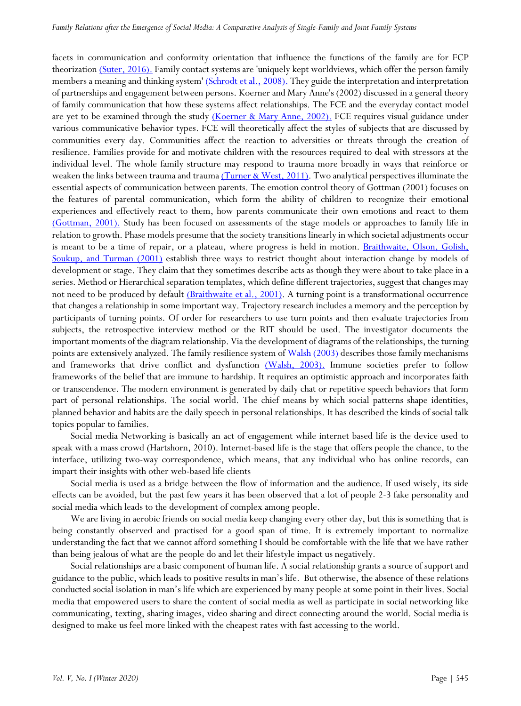facets in communication and conformity orientation that influence the functions of the family are for FCP theorization (Suter, 2016). Family contact systems are 'uniquely kept worldviews, which offer the person family members a meaning and thinking system' (Schrodt et al., 2008). They guide the interpretation and interpretation of partnerships and engagement between persons. Koerner and Mary Anne's (2002) discussed in a general theory of family communication that how these systems affect relationships. The FCE and the everyday contact model are yet to be examined through the study (Koerner & Mary Anne, 2002). FCE requires visual guidance under various communicative behavior types. FCE will theoretically affect the styles of subjects that are discussed by communities every day. Communities affect the reaction to adversities or threats through the creation of resilience. Families provide for and motivate children with the resources required to deal with stressors at the individual level. The whole family structure may respond to trauma more broadly in ways that reinforce or weaken the links between trauma and trauma (Turner & West, 2011). Two analytical perspectives illuminate the essential aspects of communication between parents. The emotion control theory of Gottman (2001) focuses on the features of parental communication, which form the ability of children to recognize their emotional experiences and effectively react to them, how parents communicate their own emotions and react to them (Gottman, 2001). Study has been focused on assessments of the stage models or approaches to family life in relation to growth. Phase models presume that the society transitions linearly in which societal adjustments occur is meant to be a time of repair, or a plateau, where progress is held in motion. Braithwaite, Olson, Golish, Soukup, and Turman (2001) establish three ways to restrict thought about interaction change by models of development or stage. They claim that they sometimes describe acts as though they were about to take place in a series. Method or Hierarchical separation templates, which define different trajectories, suggest that changes may not need to be produced by default (Braithwaite et al., 2001). A turning point is a transformational occurrence that changes a relationship in some important way. Trajectory research includes a memory and the perception by participants of turning points. Of order for researchers to use turn points and then evaluate trajectories from subjects, the retrospective interview method or the RIT should be used. The investigator documents the important moments of the diagram relationship. Via the development of diagrams of the relationships, the turning points are extensively analyzed. The family resilience system of Walsh (2003) describes those family mechanisms and frameworks that drive conflict and dysfunction (Walsh, 2003). Immune societies prefer to follow frameworks of the belief that are immune to hardship. It requires an optimistic approach and incorporates faith or transcendence. The modern environment is generated by daily chat or repetitive speech behaviors that form part of personal relationships. The social world. The chief means by which social patterns shape identities, planned behavior and habits are the daily speech in personal relationships. It has described the kinds of social talk topics popular to families.

Social media Networking is basically an act of engagement while internet based life is the device used to speak with a mass crowd (Hartshorn, 2010). Internet-based life is the stage that offers people the chance, to the interface, utilizing two-way correspondence, which means, that any individual who has online records, can impart their insights with other web-based life clients

Social media is used as a bridge between the flow of information and the audience. If used wisely, its side effects can be avoided, but the past few years it has been observed that a lot of people 2-3 fake personality and social media which leads to the development of complex among people.

We are living in aerobic friends on social media keep changing every other day, but this is something that is being constantly observed and practised for a good span of time. It is extremely important to normalize understanding the fact that we cannot afford something I should be comfortable with the life that we have rather than being jealous of what are the people do and let their lifestyle impact us negatively.

Social relationships are a basic component of human life. A social relationship grants a source of support and guidance to the public, which leads to positive results in man's life. But otherwise, the absence of these relations conducted social isolation in man's life which are experienced by many people at some point in their lives. Social media that empowered users to share the content of social media as well as participate in social networking like communicating, texting, sharing images, video sharing and direct connecting around the world. Social media is designed to make us feel more linked with the cheapest rates with fast accessing to the world.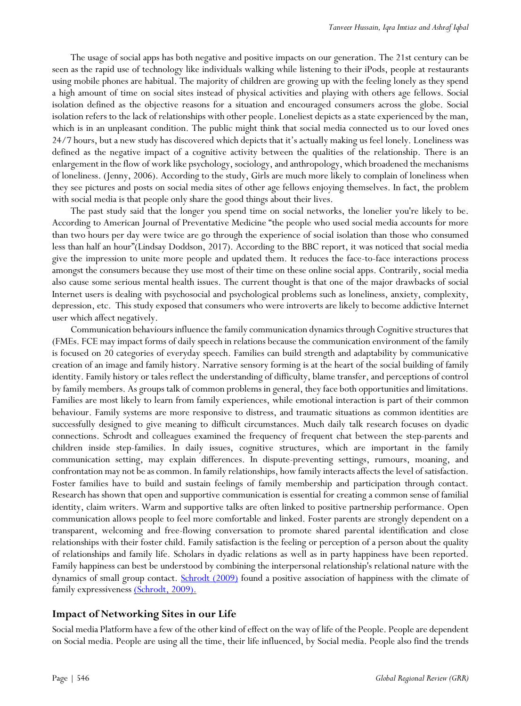The usage of social apps has both negative and positive impacts on our generation. The 21st century can be seen as the rapid use of technology like individuals walking while listening to their iPods, people at restaurants using mobile phones are habitual. The majority of children are growing up with the feeling lonely as they spend a high amount of time on social sites instead of physical activities and playing with others age fellows. Social isolation defined as the objective reasons for a situation and encouraged consumers across the globe. Social isolation refers to the lack of relationships with other people. Loneliest depicts as a state experienced by the man, which is in an unpleasant condition. The public might think that social media connected us to our loved ones 24/7 hours, but a new study has discovered which depicts that it's actually making us feel lonely. Loneliness was defined as the negative impact of a cognitive activity between the qualities of the relationship. There is an enlargement in the flow of work like psychology, sociology, and anthropology, which broadened the mechanisms of loneliness. (Jenny, 2006). According to the study, Girls are much more likely to complain of loneliness when they see pictures and posts on social media sites of other age fellows enjoying themselves. In fact, the problem with social media is that people only share the good things about their lives.

The past study said that the longer you spend time on social networks, the lonelier you're likely to be. According to American Journal of Preventative Medicine "the people who used social media accounts for more than two hours per day were twice are go through the experience of social isolation than those who consumed less than half an hour"(Lindsay Doddson, 2017). According to the BBC report, it was noticed that social media give the impression to unite more people and updated them. It reduces the face-to-face interactions process amongst the consumers because they use most of their time on these online social apps. Contrarily, social media also cause some serious mental health issues. The current thought is that one of the major drawbacks of social Internet users is dealing with psychosocial and psychological problems such as loneliness, anxiety, complexity, depression, etc. This study exposed that consumers who were introverts are likely to become addictive Internet user which affect negatively.

Communication behaviours influence the family communication dynamics through Cognitive structures that (FMEs. FCE may impact forms of daily speech in relations because the communication environment of the family is focused on 20 categories of everyday speech. Families can build strength and adaptability by communicative creation of an image and family history. Narrative sensory forming is at the heart of the social building of family identity. Family history or tales reflect the understanding of difficulty, blame transfer, and perceptions of control by family members. As groups talk of common problems in general, they face both opportunities and limitations. Families are most likely to learn from family experiences, while emotional interaction is part of their common behaviour. Family systems are more responsive to distress, and traumatic situations as common identities are successfully designed to give meaning to difficult circumstances. Much daily talk research focuses on dyadic connections. Schrodt and colleagues examined the frequency of frequent chat between the step-parents and children inside step-families. In daily issues, cognitive structures, which are important in the family communication setting, may explain differences. In dispute-preventing settings, rumours, moaning, and confrontation may not be as common. In family relationships, how family interacts affects the level of satisfaction. Foster families have to build and sustain feelings of family membership and participation through contact. Research has shown that open and supportive communication is essential for creating a common sense of familial identity, claim writers. Warm and supportive talks are often linked to positive partnership performance. Open communication allows people to feel more comfortable and linked. Foster parents are strongly dependent on a transparent, welcoming and free-flowing conversation to promote shared parental identification and close relationships with their foster child. Family satisfaction is the feeling or perception of a person about the quality of relationships and family life. Scholars in dyadic relations as well as in party happiness have been reported. Family happiness can best be understood by combining the interpersonal relationship's relational nature with the dynamics of small group contact. Schrodt (2009) found a positive association of happiness with the climate of family expressiveness (Schrodt, 2009).

## **Impact of Networking Sites in our Life**

Social media Platform have a few of the other kind of effect on the way of life of the People. People are dependent on Social media. People are using all the time, their life influenced, by Social media. People also find the trends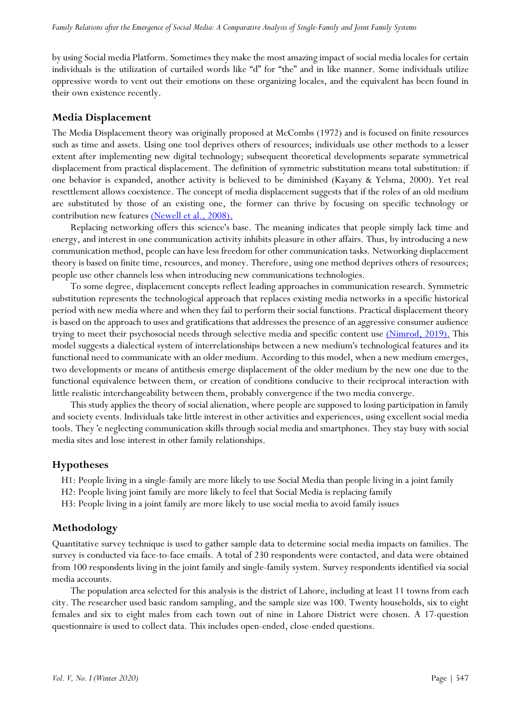by using Social media Platform. Sometimes they make the most amazing impact of social media locales for certain individuals is the utilization of curtailed words like "d" for "the" and in like manner. Some individuals utilize oppressive words to vent out their emotions on these organizing locales, and the equivalent has been found in their own existence recently.

#### **Media Displacement**

The Media Displacement theory was originally proposed at McCombs (1972) and is focused on finite resources such as time and assets. Using one tool deprives others of resources; individuals use other methods to a lesser extent after implementing new digital technology; subsequent theoretical developments separate symmetrical displacement from practical displacement. The definition of symmetric substitution means total substitution: if one behavior is expanded, another activity is believed to be diminished (Kayany & Yelsma, 2000). Yet real resettlement allows coexistence. The concept of media displacement suggests that if the roles of an old medium are substituted by those of an existing one, the former can thrive by focusing on specific technology or contribution new features (Newell et al., 2008).

Replacing networking offers this science's base. The meaning indicates that people simply lack time and energy, and interest in one communication activity inhibits pleasure in other affairs. Thus, by introducing a new communication method, people can have less freedom for other communication tasks. Networking displacement theory is based on finite time, resources, and money. Therefore, using one method deprives others of resources; people use other channels less when introducing new communications technologies.

To some degree, displacement concepts reflect leading approaches in communication research. Symmetric substitution represents the technological approach that replaces existing media networks in a specific historical period with new media where and when they fail to perform their social functions. Practical displacement theory is based on the approach to uses and gratifications that addresses the presence of an aggressive consumer audience trying to meet their psychosocial needs through selective media and specific content use (Nimrod, 2019). This model suggests a dialectical system of interrelationships between a new medium's technological features and its functional need to communicate with an older medium. According to this model, when a new medium emerges, two developments or means of antithesis emerge displacement of the older medium by the new one due to the functional equivalence between them, or creation of conditions conducive to their reciprocal interaction with little realistic interchangeability between them, probably convergence if the two media converge.

This study applies the theory of social alienation, where people are supposed to losing participation in family and society events. Individuals take little interest in other activities and experiences, using excellent social media tools. They 'e neglecting communication skills through social media and smartphones. They stay busy with social media sites and lose interest in other family relationships.

### **Hypotheses**

- H1: People living in a single-family are more likely to use Social Media than people living in a joint family
- H2: People living joint family are more likely to feel that Social Media is replacing family
- H3: People living in a joint family are more likely to use social media to avoid family issues

#### **Methodology**

Quantitative survey technique is used to gather sample data to determine social media impacts on families. The survey is conducted via face-to-face emails. A total of 230 respondents were contacted, and data were obtained from 100 respondents living in the joint family and single-family system. Survey respondents identified via social media accounts.

The population area selected for this analysis is the district of Lahore, including at least 11 towns from each city. The researcher used basic random sampling, and the sample size was 100. Twenty households, six to eight females and six to eight males from each town out of nine in Lahore District were chosen. A 17-question questionnaire is used to collect data. This includes open-ended, close-ended questions.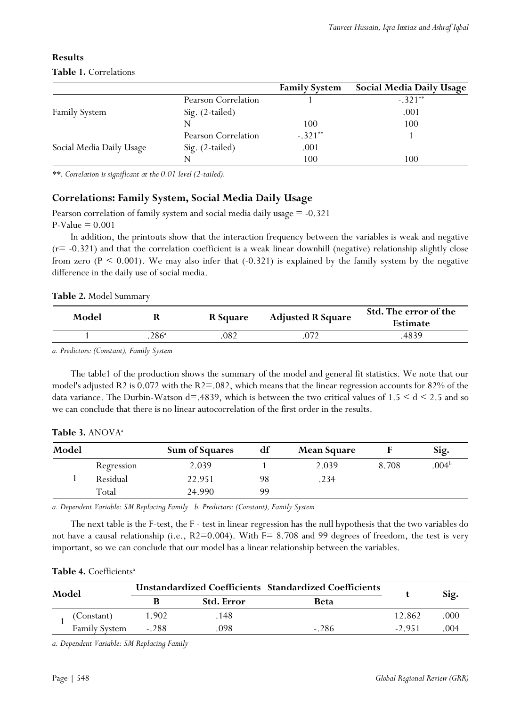|                          |                     | <b>Family System</b> | <b>Social Media Daily Usage</b> |
|--------------------------|---------------------|----------------------|---------------------------------|
|                          | Pearson Correlation |                      | $-.321**$                       |
| <b>Family System</b>     | Sig. (2-tailed)     |                      | .001                            |
|                          | N                   | 100                  | 100                             |
|                          | Pearson Correlation | $-.321**$            |                                 |
| Social Media Daily Usage | Sig. (2-tailed)     | .001                 |                                 |
|                          | N                   | 100                  | 100                             |

# **Results**

# **Table 1.** Correlations

*\*\*. Correlation is significant at the 0.01 level (2-tailed).*

## **Correlations: Family System, Social Media Daily Usage**

Pearson correlation of family system and social media daily usage = -0.321  $P-Value = 0.001$ 

In addition, the printouts show that the interaction frequency between the variables is weak and negative  $(r= -0.321)$  and that the correlation coefficient is a weak linear downhill (negative) relationship slightly close from zero  $(P \le 0.001)$ . We may also infer that  $(-0.321)$  is explained by the family system by the negative difference in the daily use of social media.

### **Table 2.** Model Summary

| Model |               | <b>R</b> Square | <b>Adjusted R Square</b> | Std. The error of the<br>Estimate |
|-------|---------------|-----------------|--------------------------|-----------------------------------|
|       | $286^{\circ}$ | 082             | 072                      | 4839                              |

*a. Predictors: (Constant), Family System*

The table1 of the production shows the summary of the model and general fit statistics. We note that our model's adjusted R2 is 0.072 with the R2=.082, which means that the linear regression accounts for 82% of the data variance. The Durbin-Watson  $d=4839$ , which is between the two critical values of  $1.5 \le d \le 2.5$  and so we can conclude that there is no linear autocorrelation of the first order in the results.

| Model |            | <b>Sum of Squares</b> | df | <b>Mean Square</b> |       | Sig.              |
|-------|------------|-----------------------|----|--------------------|-------|-------------------|
|       | Regression | 2.039                 |    | 2.039              | 8.708 | .004 <sup>b</sup> |
|       | Residual   | 22.951                | 98 | .234               |       |                   |
|       | Total      | 24.990                | 99 |                    |       |                   |

*a. Dependent Variable: SM Replacing Family b. Predictors: (Constant), Family System*

The next table is the F-test, the F - test in linear regression has the null hypothesis that the two variables do not have a causal relationship (i.e., R2=0.004). With F= 8.708 and 99 degrees of freedom, the test is very important, so we can conclude that our model has a linear relationship between the variables.

#### Table 4. Coefficients<sup>a</sup>

| Model |                      | <b>Unstandardized Coefficients Standardized Coefficients</b> |     |         |         |      |
|-------|----------------------|--------------------------------------------------------------|-----|---------|---------|------|
|       |                      | <b>Std. Error</b><br>Beta                                    |     |         | Sig.    |      |
|       | (Constant)           | 1.902                                                        | 148 |         | 12.862  | .000 |
|       | <b>Family System</b> | $-.288$                                                      | 098 | $-.286$ | $-2951$ | 004  |

*a. Dependent Variable: SM Replacing Family*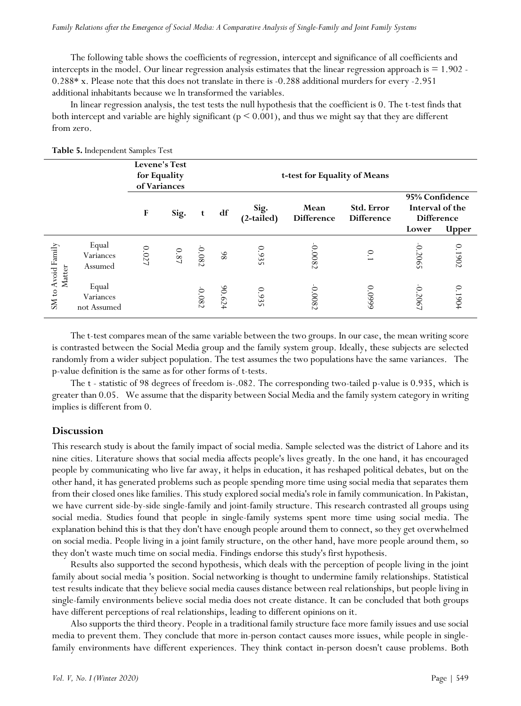The following table shows the coefficients of regression, intercept and significance of all coefficients and intercepts in the model. Our linear regression analysis estimates that the linear regression approach is  $= 1.902$ . 0.288\* x. Please note that this does not translate in there is -0.288 additional murders for every -2.951 additional inhabitants because we ln transformed the variables.

In linear regression analysis, the test tests the null hypothesis that the coefficient is 0. The t-test finds that both intercept and variable are highly significant (p < 0.001), and thus we might say that they are different from zero.

|                              |                                   | Levene's Test<br>for Equality<br>of Variances |          |          |        | t-test for Equality of Means |                           |                                 |                                                                 |              |
|------------------------------|-----------------------------------|-----------------------------------------------|----------|----------|--------|------------------------------|---------------------------|---------------------------------|-----------------------------------------------------------------|--------------|
|                              |                                   | $\mathbf{F}$                                  | Sig.     | t        | df     | Sig.<br>(2-tailed)           | Mean<br><b>Difference</b> | Std. Error<br><b>Difference</b> | 95% Confidence<br>Interval of the<br><b>Difference</b><br>Lower | <b>Upper</b> |
| SM to Avoid Family<br>Matter | Equal<br>Variances<br>Assumed     | $0.027\,$                                     | $0.87\,$ | 0.082    | 86     | 0.935                        | $-0.0082$                 | $\overline{0}$                  | 0.2065                                                          | 0.1902       |
|                              | Equal<br>Variances<br>not Assumed |                                               |          | $-0.082$ | 90.624 | 0.935                        | 0.0082                    | 6660.0                          | 0.2067                                                          | 0.1904       |

**Table 5.** Independent Samples Test

The t-test compares mean of the same variable between the two groups. In our case, the mean writing score is contrasted between the Social Media group and the family system group. Ideally, these subjects are selected randomly from a wider subject population. The test assumes the two populations have the same variances. The p-value definition is the same as for other forms of t-tests.

The t - statistic of 98 degrees of freedom is-.082. The corresponding two-tailed p-value is 0.935, which is greater than 0.05. We assume that the disparity between Social Media and the family system category in writing implies is different from 0.

#### **Discussion**

This research study is about the family impact of social media. Sample selected was the district of Lahore and its nine cities. Literature shows that social media affects people's lives greatly. In the one hand, it has encouraged people by communicating who live far away, it helps in education, it has reshaped political debates, but on the other hand, it has generated problems such as people spending more time using social media that separates them from their closed ones like families. This study explored social media's role in family communication. In Pakistan, we have current side-by-side single-family and joint-family structure. This research contrasted all groups using social media. Studies found that people in single-family systems spent more time using social media. The explanation behind this is that they don't have enough people around them to connect, so they get overwhelmed on social media. People living in a joint family structure, on the other hand, have more people around them, so they don't waste much time on social media. Findings endorse this study's first hypothesis.

Results also supported the second hypothesis, which deals with the perception of people living in the joint family about social media 's position. Social networking is thought to undermine family relationships. Statistical test results indicate that they believe social media causes distance between real relationships, but people living in single-family environments believe social media does not create distance. It can be concluded that both groups have different perceptions of real relationships, leading to different opinions on it.

Also supports the third theory. People in a traditional family structure face more family issues and use social media to prevent them. They conclude that more in-person contact causes more issues, while people in singlefamily environments have different experiences. They think contact in-person doesn't cause problems. Both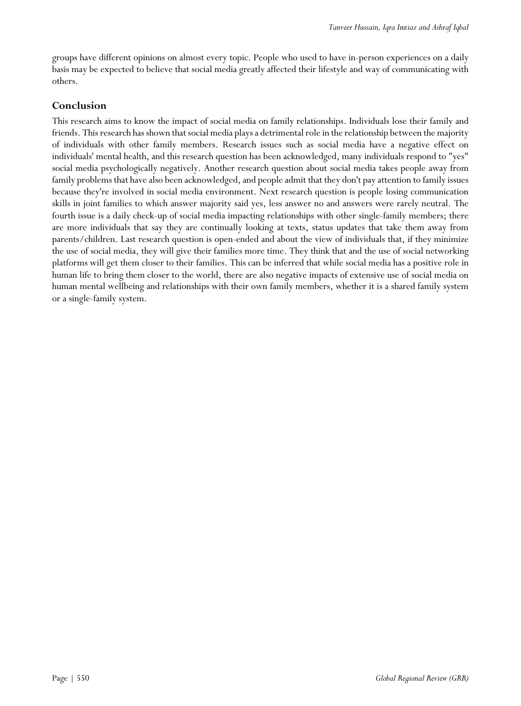groups have different opinions on almost every topic. People who used to have in-person experiences on a daily basis may be expected to believe that social media greatly affected their lifestyle and way of communicating with others.

# **Conclusion**

This research aims to know the impact of social media on family relationships. Individuals lose their family and friends. This research has shown that social media plays a detrimental role in the relationship between the majority of individuals with other family members. Research issues such as social media have a negative effect on individuals' mental health, and this research question has been acknowledged, many individuals respond to "yes" social media psychologically negatively. Another research question about social media takes people away from family problems that have also been acknowledged, and people admit that they don't pay attention to family issues because they're involved in social media environment. Next research question is people losing communication skills in joint families to which answer majority said yes, less answer no and answers were rarely neutral. The fourth issue is a daily check-up of social media impacting relationships with other single-family members; there are more individuals that say they are continually looking at texts, status updates that take them away from parents/children. Last research question is open-ended and about the view of individuals that, if they minimize the use of social media, they will give their families more time. They think that and the use of social networking platforms will get them closer to their families. This can be inferred that while social media has a positive role in human life to bring them closer to the world, there are also negative impacts of extensive use of social media on human mental wellbeing and relationships with their own family members, whether it is a shared family system or a single-family system.